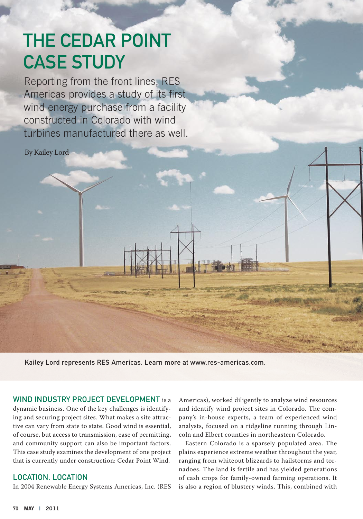# The Cedar Point **CASE STUDY**

Reporting from the front lines, RES Americas provides a study of its first wind energy purchase from a facility constructed in Colorado with wind turbines manufactured there as well.

By Kailey Lord

Kailey Lord represents RES Americas. Learn more at www.res-americas.com.

WIND INDUSTRY PROJECT DEVELOPMENT is a

dynamic business. One of the key challenges is identifying and securing project sites. What makes a site attractive can vary from state to state. Good wind is essential, of course, but access to transmission, ease of permitting, and community support can also be important factors. This case study examines the development of one project that is currently under construction: Cedar Point Wind.

## Location, Location

In 2004 Renewable Energy Systems Americas, Inc. (RES

Americas), worked diligently to analyze wind resources and identify wind project sites in Colorado. The company's in-house experts, a team of experienced wind analysts, focused on a ridgeline running through Lincoln and Elbert counties in northeastern Colorado.

Eastern Colorado is a sparsely populated area. The plains experience extreme weather throughout the year, ranging from whiteout blizzards to hailstorms and tornadoes. The land is fertile and has yielded generations of cash crops for family-owned farming operations. It is also a region of blustery winds. This, combined with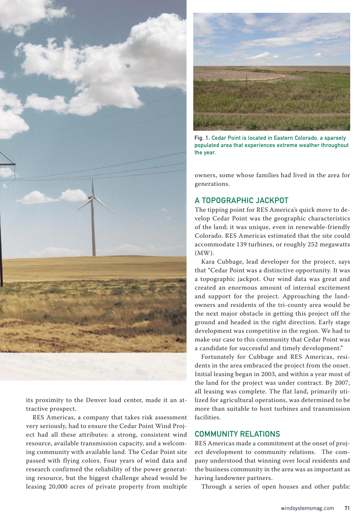

its proximity to the Denver load center, made it an attractive prospect.

RES Americas, a company that takes risk assessment very seriously, had to ensure the Cedar Point Wind Project had all these attributes: a strong, consistent wind resource, available transmission capacity, and a welcoming community with available land. The Cedar Point site passed with flying colors. Four years of wind data and research confirmed the reliability of the power generating resource, but the biggest challenge ahead would be leasing 20,000 acres of private property from multiple



Fig. 1: Cedar Point is located in Eastern Colorado, a sparsely populated area that experiences extreme weather throughout the year.

owners, some whose families had lived in the area for generations.

# A Topographic Jackpot

The tipping point for RES America's quick move to develop Cedar Point was the geographic characteristics of the land; it was unique, even in renewable-friendly Colorado. RES Americas estimated that the site could accommodate 139 turbines, or roughly 252 megawatts (MW).

Kara Cubbage, lead developer for the project, says that "Cedar Point was a distinctive opportunity. It was a topographic jackpot. Our wind data was great and created an enormous amount of internal excitement and support for the project. Approaching the landowners and residents of the tri-county area would be the next major obstacle in getting this project off the ground and headed in the right direction. Early stage development was competitive in the region. We had to make our case to this community that Cedar Point was a candidate for successful and timely development."

Fortunately for Cubbage and RES Americas, residents in the area embraced the project from the onset. Initial leasing began in 2003, and within a year most of the land for the project was under contract. By 2007, all leasing was complete. The flat land, primarily utilized for agricultural operations, was determined to be more than suitable to host turbines and transmission facilities.

#### Community Relations

RES Americas made a commitment at the onset of project development to community relations. The company understood that winning over local residents and the business community in the area was as important as having landowner partners.

Through a series of open houses and other public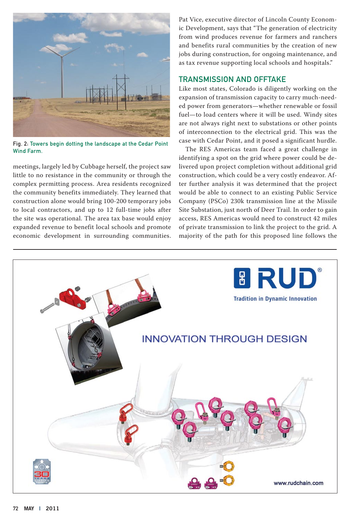

Fig. 2: Towers begin dotting the landscape at the Cedar Point Wind Farm.

meetings, largely led by Cubbage herself, the project saw little to no resistance in the community or through the complex permitting process. Area residents recognized the community benefits immediately. They learned that construction alone would bring 100-200 temporary jobs to local contractors, and up to 12 full-time jobs after the site was operational. The area tax base would enjoy expanded revenue to benefit local schools and promote economic development in surrounding communities.

Pat Vice, executive director of Lincoln County Economic Development, says that "The generation of electricity from wind produces revenue for farmers and ranchers and benefits rural communities by the creation of new jobs during construction, for ongoing maintenance, and as tax revenue supporting local schools and hospitals."

#### Transmission and Offtake

Like most states, Colorado is diligently working on the expansion of transmission capacity to carry much-needed power from generators—whether renewable or fossil fuel—to load centers where it will be used. Windy sites are not always right next to substations or other points of interconnection to the electrical grid. This was the case with Cedar Point, and it posed a significant hurdle.

The RES Americas team faced a great challenge in identifying a spot on the grid where power could be delivered upon project completion without additional grid construction, which could be a very costly endeavor. After further analysis it was determined that the project would be able to connect to an existing Public Service Company (PSCo) 230k transmission line at the Missile Site Substation, just north of Deer Trail. In order to gain access, RES Americas would need to construct 42 miles of private transmission to link the project to the grid. A majority of the path for this proposed line follows the

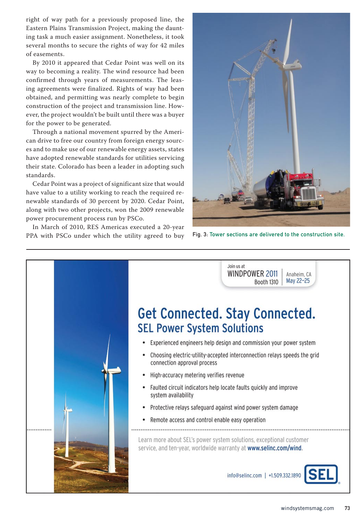right of way path for a previously proposed line, the Eastern Plains Transmission Project, making the daunting task a much easier assignment. Nonetheless, it took several months to secure the rights of way for 42 miles of easements.

By 2010 it appeared that Cedar Point was well on its way to becoming a reality. The wind resource had been confirmed through years of measurements. The leasing agreements were finalized. Rights of way had been obtained, and permitting was nearly complete to begin construction of the project and transmission line. However, the project wouldn't be built until there was a buyer for the power to be generated.

Through a national movement spurred by the American drive to free our country from foreign energy sources and to make use of our renewable energy assets, states have adopted renewable standards for utilities servicing their state. Colorado has been a leader in adopting such standards.

Cedar Point was a project of significant size that would have value to a utility working to reach the required renewable standards of 30 percent by 2020. Cedar Point, along with two other projects, won the 2009 renewable power procurement process run by PSCo.

In March of 2010, RES Americas executed a 20-year PPA with PSCo under which the utility agreed to buy Fig. 3: Tower sections are delivered to the construction site.



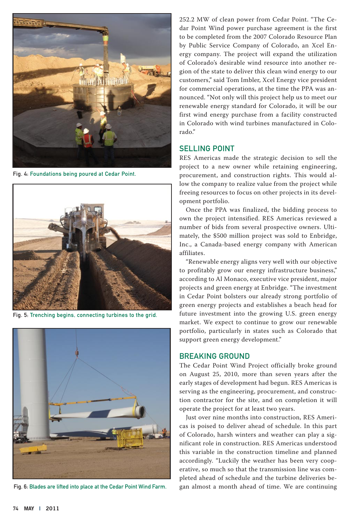

Fig. 4: Foundations being poured at Cedar Point.



Fig. 5: Trenching begins, connecting turbines to the grid.



Fig. 6: Blades are lifted into place at the Cedar Point Wind Farm.

252.2 MW of clean power from Cedar Point. "The Cedar Point Wind power purchase agreement is the first to be completed from the 2007 Colorado Resource Plan by Public Service Company of Colorado, an Xcel Energy company. The project will expand the utilization of Colorado's desirable wind resource into another region of the state to deliver this clean wind energy to our customers," said Tom Imbler, Xcel Energy vice president for commercial operations, at the time the PPA was announced. "Not only will this project help us to meet our renewable energy standard for Colorado, it will be our first wind energy purchase from a facility constructed in Colorado with wind turbines manufactured in Colorado."

#### Selling Point

RES Americas made the strategic decision to sell the project to a new owner while retaining engineering, procurement, and construction rights. This would allow the company to realize value from the project while freeing resources to focus on other projects in its development portfolio.

Once the PPA was finalized, the bidding process to own the project intensified. RES Americas reviewed a number of bids from several prospective owners. Ultimately, the \$500 million project was sold to Enbridge, Inc., a Canada-based energy company with American affiliates.

"Renewable energy aligns very well with our objective to profitably grow our energy infrastructure business," according to Al Monaco, executive vice president, major projects and green energy at Enbridge. "The investment in Cedar Point bolsters our already strong portfolio of green energy projects and establishes a beach head for future investment into the growing U.S. green energy market. We expect to continue to grow our renewable portfolio, particularly in states such as Colorado that support green energy development."

#### Breaking Ground

The Cedar Point Wind Project officially broke ground on August 25, 2010, more than seven years after the early stages of development had begun. RES Americas is serving as the engineering, procurement, and construction contractor for the site, and on completion it will operate the project for at least two years.

Just over nine months into construction, RES Americas is poised to deliver ahead of schedule. In this part of Colorado, harsh winters and weather can play a significant role in construction. RES Americas understood this variable in the construction timeline and planned accordingly. "Luckily the weather has been very cooperative, so much so that the transmission line was completed ahead of schedule and the turbine deliveries began almost a month ahead of time. We are continuing